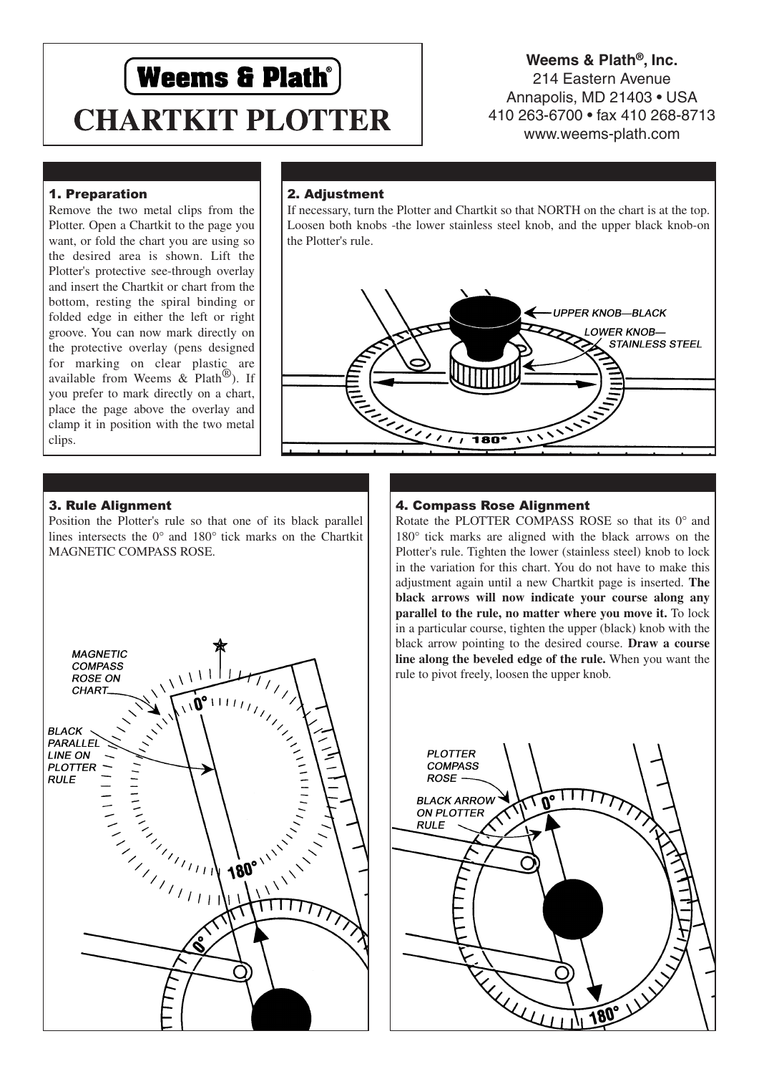# **Weems & Plath® CHARTKIT PLOTTER**

### **Weems & Plath®, Inc.** 214 Eastern Avenue Annapolis, MD 21403 • USA 410 263-6700 • fax 410 268-8713 www.weems-plath.com

### 1. Preparation

Remove the two metal clips from the Plotter. Open a Chartkit to the page you want, or fold the chart you are using so the desired area is shown. Lift the Plotter's protective see-through overlay and insert the Chartkit or chart from the bottom, resting the spiral binding or folded edge in either the left or right groove. You can now mark directly on the protective overlay (pens designed for marking on clear plastic are available from Weems  $\&$  Plath<sup>®</sup>). If you prefer to mark directly on a chart, place the page above the overlay and clamp it in position with the two metal clips.

#### 2. Adjustment

If necessary, turn the Plotter and Chartkit so that NORTH on the chart is at the top. Loosen both knobs -the lower stainless steel knob, and the upper black knob-on the Plotter's rule.



#### 3. Rule Alignment

Position the Plotter's rule so that one of its black parallel lines intersects the 0° and 180° tick marks on the Chartkit MAGNETIC COMPASS ROSE.



### 4. Compass Rose Alignment

Rotate the PLOTTER COMPASS ROSE so that its 0° and 180° tick marks are aligned with the black arrows on the Plotter's rule. Tighten the lower (stainless steel) knob to lock in the variation for this chart. You do not have to make this adjustment again until a new Chartkit page is inserted. **The black arrows will now indicate your course along any parallel to the rule, no matter where you move it.** To lock in a particular course, tighten the upper (black) knob with the black arrow pointing to the desired course. **Draw a course line along the beveled edge of the rule.** When you want the rule to pivot freely, loosen the upper knob.